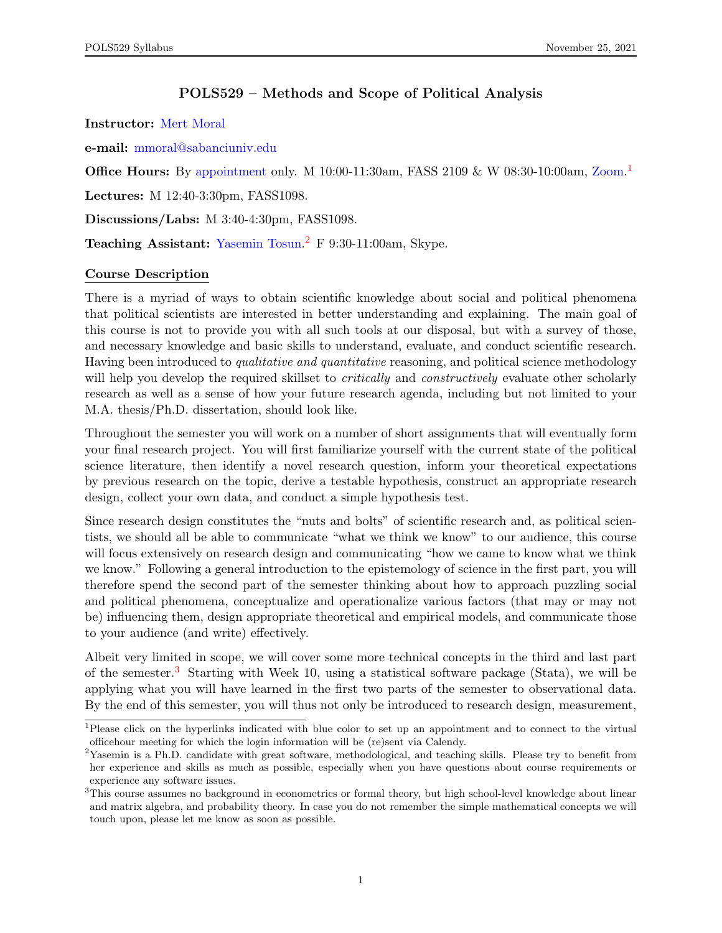# POLS529 – Methods and Scope of Political Analysis

<span id="page-0-0"></span>Instructor: [Mert Moral](http://www.mertmoral.com)

e-mail: [mmoral@sabanciuniv.edu](mailto:mmoral@sabanciuniv.edu)

**Office Hours:** By [appointment](https://calendly.com/mertmoral/officehour) only. M 10:00-11:30am, FASS 2109 & W 08:30-10:00am, [Zoom.](https://sabanciuniv.zoom.us/j/99995897429?pwd=QzgvNGl5UXYyMWhjOHRWODB6QWVoQT09)<sup>1</sup>

Lectures: M 12:40-3:30pm, FASS1098.

Discussions/Labs: M 3:40-4:30pm, FASS1098.

Teaching Assistant: [Yasemin Tosun.](mailto:yasemintosun@sabanciuniv.edu)<sup>2</sup> F 9:30-11:00am, Skype.

### Course Description

There is a myriad of ways to obtain scientific knowledge about social and political phenomena that political scientists are interested in better understanding and explaining. The main goal of this course is not to provide you with all such tools at our disposal, but with a survey of those, and necessary knowledge and basic skills to understand, evaluate, and conduct scientific research. Having been introduced to *qualitative and quantitative* reasoning, and political science methodology will help you develop the required skillset to *critically* and *constructively* evaluate other scholarly research as well as a sense of how your future research agenda, including but not limited to your M.A. thesis/Ph.D. dissertation, should look like.

Throughout the semester you will work on a number of short assignments that will eventually form your final research project. You will first familiarize yourself with the current state of the political science literature, then identify a novel research question, inform your theoretical expectations by previous research on the topic, derive a testable hypothesis, construct an appropriate research design, collect your own data, and conduct a simple hypothesis test.

Since research design constitutes the "nuts and bolts" of scientific research and, as political scientists, we should all be able to communicate "what we think we know" to our audience, this course will focus extensively on research design and communicating "how we came to know what we think we know." Following a general introduction to the epistemology of science in the first part, you will therefore spend the second part of the semester thinking about how to approach puzzling social and political phenomena, conceptualize and operationalize various factors (that may or may not be) influencing them, design appropriate theoretical and empirical models, and communicate those to your audience (and write) effectively.

Albeit very limited in scope, we will cover some more technical concepts in the third and last part of the semester.<sup>3</sup> Starting with Week 10, using a statistical software package (Stata), we will be applying what you will have learned in the first two parts of the semester to observational data. By the end of this semester, you will thus not only be introduced to research design, measurement,

<sup>&</sup>lt;sup>1</sup>Please click on the hyperlinks indicated with blue color to set up an appointment and to connect to the virtual officehour meeting for which the login information will be (re)sent via Calendy.

<sup>&</sup>lt;sup>2</sup>Yasemin is a Ph.D. candidate with great software, methodological, and teaching skills. Please try to benefit from her experience and skills as much as possible, especially when you have questions about course requirements or experience any software issues.

<sup>&</sup>lt;sup>3</sup>This course assumes no background in econometrics or formal theory, but high school-level knowledge about linear and matrix algebra, and probability theory. In case you do not remember the simple mathematical concepts we will touch upon, please let me know as soon as possible.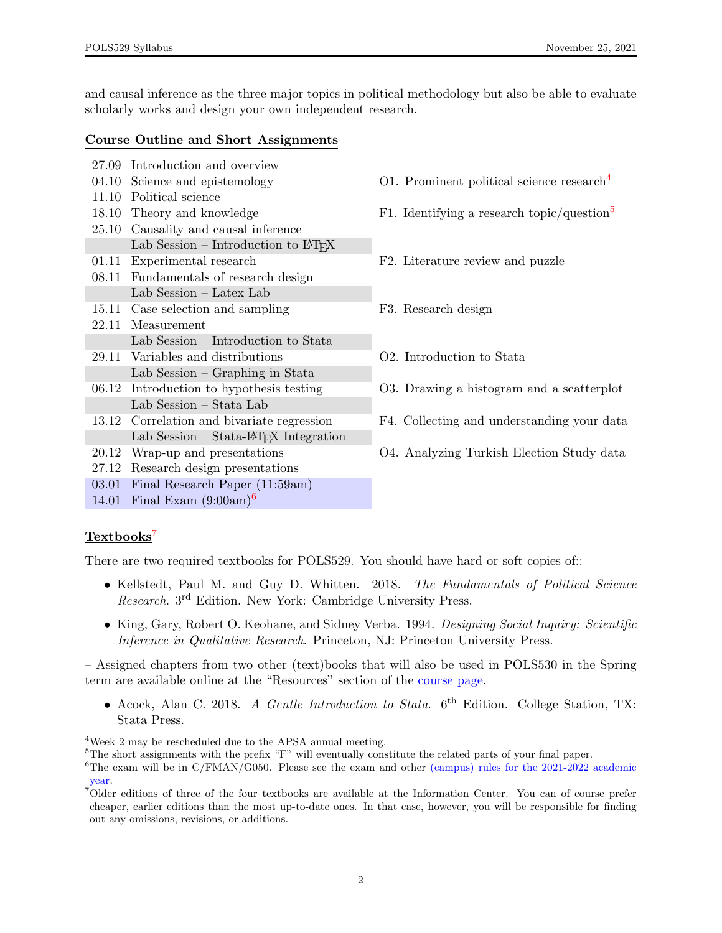and causal inference as the three major topics in political methodology but also be able to evaluate scholarly works and design your own independent research.

### Course Outline and Short Assignments

- 27.09 Introduction and overview
- 11.10 Political science
- 25.10 Causality and causal inference
- Lab Session Introduction to  $\mathbb{F}T_FX$
- 
- 08.11 Fundamentals of research design Lab Session – Latex Lab
- 15.11 Case selection and sampling F3. Research design 22.11 Measurement Lab Session – Introduction to Stata
- 29.11 Variables and distributions O2. Introduction to Stata
- Lab Session Graphing in Stata
- Lab Session Stata Lab
- Lab Session Stata-LATEX Integration
- 
- 27.12 Research design presentations
- 03.01 Final Research Paper (11:59am)
- 14.01 Final Exam  $(9:00am)^6$  $(9:00am)^6$

# 0[4](#page-0-0).10 Science and epistemology 01. Prominent political science research<sup>4</sup>

- 18.10 Theory and knowledge F1. Identifying a research topic/question<sup>[5](#page-0-0)</sup>
- 01.11 Experimental research F2. Literature review and puzzle
	-
	-
- 06.12 Introduction to hypothesis testing O3. Drawing a histogram and a scatterplot
- 13.12 Correlation and bivariate regression F4. Collecting and understanding your data
- 20.12 Wrap-up and presentations O4. Analyzing Turkish Election Study data

## Textbooks<sup>[7](#page-0-0)</sup>

There are two required textbooks for POLS529. You should have hard or soft copies of::

- Kellstedt, Paul M. and Guy D. Whitten. 2018. The Fundamentals of Political Science Research. 3rd Edition. New York: Cambridge University Press.
- King, Gary, Robert O. Keohane, and Sidney Verba. 1994. Designing Social Inquiry: Scientific Inference in Qualitative Research. Princeton, NJ: Princeton University Press.

– Assigned chapters from two other (text)books that will also be used in POLS530 in the Spring term are available online at the "Resources" section of the [course page.](https://sucourse.sabanciuniv.edu/plus/course/view.php?id=3857)

• Acock, Alan C. 2018. A Gentle Introduction to Stata. 6<sup>th</sup> Edition. College Station, TX: Stata Press.

<sup>4</sup>Week 2 may be rescheduled due to the APSA annual meeting.

 $5$ The short assignments with the prefix "F" will eventually constitute the related parts of your final paper.

 ${}^{6}$ The exam will be in C/FMAN/G050. Please see the exam and other [\(campus\) rules for the 2021-2022 academic](https://www.sabanciuniv.edu/en/campus-rules-2021-2022-academic-year) [year.](https://www.sabanciuniv.edu/en/campus-rules-2021-2022-academic-year)

<sup>7</sup>Older editions of three of the four textbooks are available at the Information Center. You can of course prefer cheaper, earlier editions than the most up-to-date ones. In that case, however, you will be responsible for finding out any omissions, revisions, or additions.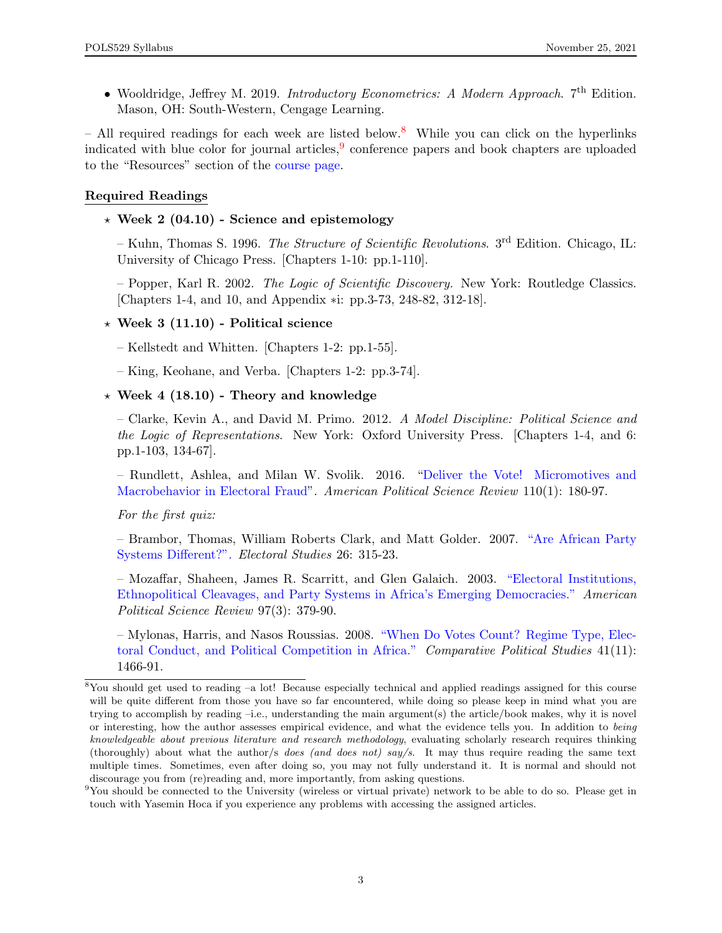• Wooldridge, Jeffrey M. 2019. Introductory Econometrics: A Modern Approach. 7<sup>th</sup> Edition. Mason, OH: South-Western, Cengage Learning.

– All required readings for each week are listed below.<sup>[8](#page-0-0)</sup> While you can click on the hyperlinks indicated with blue color for journal articles,  $9$  conference papers and book chapters are uploaded to the "Resources" section of the [course page.](https://sucourse.sabanciuniv.edu/plus/course/view.php?id=3857)

## Required Readings

 $\star$  Week 2 (04.10) - Science and epistemology

– Kuhn, Thomas S. 1996. *The Structure of Scientific Revolutions*.  $3<sup>rd</sup>$  Edition. Chicago, IL: University of Chicago Press. [Chapters 1-10: pp.1-110].

– Popper, Karl R. 2002. *The Logic of Scientific Discovery*. New York: Routledge Classics. [Chapters 1-4, and 10, and Appendix ∗i: pp.3-73, 248-82, 312-18].

## $\star$  Week 3 (11.10) - Political science

– Kellstedt and Whitten. [Chapters 1-2: pp.1-55].

– King, Keohane, and Verba. [Chapters 1-2: pp.3-74].

## $\star$  Week 4 (18.10) - Theory and knowledge

– Clarke, Kevin A., and David M. Primo. 2012. A Model Discipline: Political Science and the Logic of Representations. New York: Oxford University Press. [Chapters 1-4, and 6: pp.1-103, 134-67].

– Rundlett, Ashlea, and Milan W. Svolik. 2016. ["Deliver the Vote! Micromotives and](https://www.cambridge.org/core/journals/american-political-science-review/article/deliver-the-vote-micromotives-and-macrobehavior-in-electoral-fraud/348D3A1DB751D4D4C91ABCDE2056F15E) [Macrobehavior in Electoral Fraud"](https://www.cambridge.org/core/journals/american-political-science-review/article/deliver-the-vote-micromotives-and-macrobehavior-in-electoral-fraud/348D3A1DB751D4D4C91ABCDE2056F15E). American Political Science Review 110(1): 180-97.

For the first quiz:

– Brambor, Thomas, William Roberts Clark, and Matt Golder. 2007. ["Are African Party](http://www.sciencedirect.com/science/article/pii/S0261379406000655) [Systems Different?".](http://www.sciencedirect.com/science/article/pii/S0261379406000655) Electoral Studies 26: 315-23.

– Mozaffar, Shaheen, James R. Scarritt, and Glen Galaich. 2003. ["Electoral Institutions,](http://www.jstor.org/stable/3117615?seq=1#page_scan_tab_contents) [Ethnopolitical Cleavages, and Party Systems in Africa's Emerging Democracies."](http://www.jstor.org/stable/3117615?seq=1#page_scan_tab_contents) American Political Science Review 97(3): 379-90.

– Mylonas, Harris, and Nasos Roussias. 2008. ["When Do Votes Count? Regime Type, Elec](http://journals.sagepub.com/doi/pdf/10.1177/0010414007305815)[toral Conduct, and Political Competition in Africa."](http://journals.sagepub.com/doi/pdf/10.1177/0010414007305815) Comparative Political Studies 41(11): 1466-91.

<sup>8</sup>You should get used to reading –a lot! Because especially technical and applied readings assigned for this course will be quite different from those you have so far encountered, while doing so please keep in mind what you are trying to accomplish by reading –i.e., understanding the main argument(s) the article/book makes, why it is novel or interesting, how the author assesses empirical evidence, and what the evidence tells you. In addition to being knowledgeable about previous literature and research methodology, evaluating scholarly research requires thinking (thoroughly) about what the author/s does (and does not) say/s. It may thus require reading the same text multiple times. Sometimes, even after doing so, you may not fully understand it. It is normal and should not discourage you from (re)reading and, more importantly, from asking questions.

 $9$ You should be connected to the University (wireless or virtual private) network to be able to do so. Please get in touch with Yasemin Hoca if you experience any problems with accessing the assigned articles.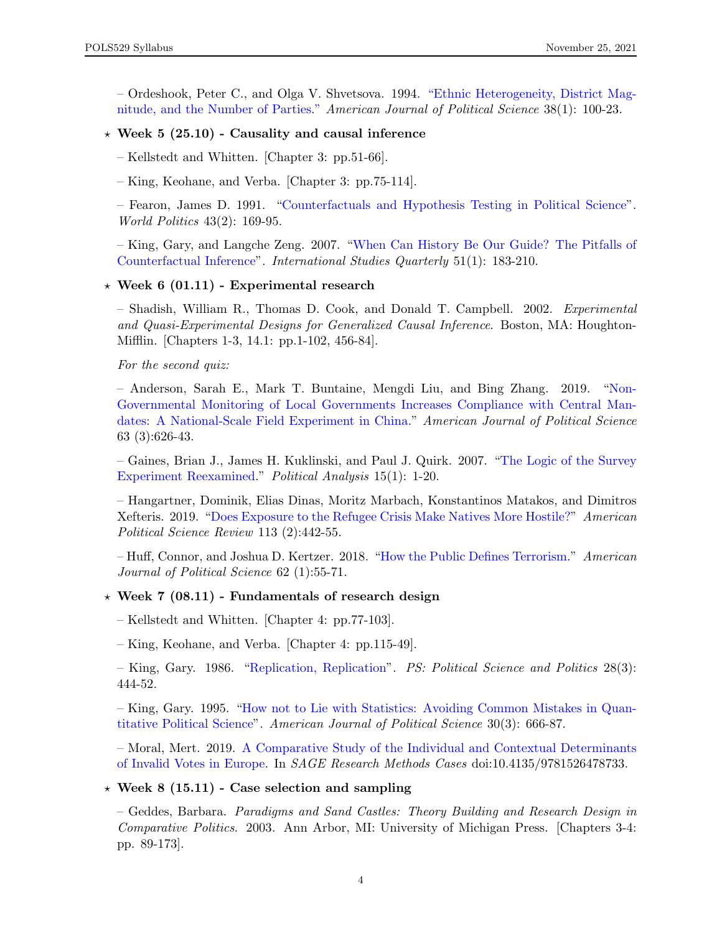– Ordeshook, Peter C., and Olga V. Shvetsova. 1994. ["Ethnic Heterogeneity, District Mag](http://www.jstor.org/stable/2111337?seq=1#page_scan_tab_contents)[nitude, and the Number of Parties."](http://www.jstor.org/stable/2111337?seq=1#page_scan_tab_contents) American Journal of Political Science 38(1): 100-23.

### $\star$  Week 5 (25.10) - Causality and causal inference

– Kellstedt and Whitten. [Chapter 3: pp.51-66].

– King, Keohane, and Verba. [Chapter 3: pp.75-114].

– Fearon, James D. 1991. ["Counterfactuals and Hypothesis Testing in Political Science"](http://www.jstor.org/stable/2010470?seq=1#page_scan_tab_contents). World Politics 43(2): 169-95.

– King, Gary, and Langche Zeng. 2007. ["When Can History Be Our Guide? The Pitfalls of](http://www.jstor.org/stable/4621707?seq=1#page_scan_tab_contents) [Counterfactual Inference"](http://www.jstor.org/stable/4621707?seq=1#page_scan_tab_contents). International Studies Quarterly 51(1): 183-210.

#### $\star$  Week 6 (01.11) - Experimental research

– Shadish, William R., Thomas D. Cook, and Donald T. Campbell. 2002. Experimental and Quasi-Experimental Designs for Generalized Causal Inference. Boston, MA: Houghton-Mifflin. [Chapters 1-3, 14.1: pp.1-102, 456-84].

For the second quiz:

– Anderson, Sarah E., Mark T. Buntaine, Mengdi Liu, and Bing Zhang. 2019. ["Non-](https://onlinelibrary.wiley.com/doi/abs/10.1111/ajps.12428)[Governmental Monitoring of Local Governments Increases Compliance with Central Man](https://onlinelibrary.wiley.com/doi/abs/10.1111/ajps.12428)[dates: A National-Scale Field Experiment in China.](https://onlinelibrary.wiley.com/doi/abs/10.1111/ajps.12428)" American Journal of Political Science 63 (3):626-43.

– Gaines, Brian J., James H. Kuklinski, and Paul J. Quirk. 2007. ["The Logic of the Survey](http://www.jstor.org/stable/25791875?seq=1#page_scan_tab_contents) [Experiment Reexamined.](http://www.jstor.org/stable/25791875?seq=1#page_scan_tab_contents)" Political Analysis 15(1): 1-20.

– Hangartner, Dominik, Elias Dinas, Moritz Marbach, Konstantinos Matakos, and Dimitros Xefteris. 2019. ["Does Exposure to the Refugee Crisis Make Natives More Hostile?"](https://www.cambridge.org/core/services/aop-cambridge-core/content/view/3E66D9B39336C652F9EF6D7EF9DF0735/S0003055418000813a.pdf/does_exposure_to_the_refugee_crisis_make_natives_more_hostile.pdf) American Political Science Review 113 (2):442-55.

– Huff, Connor, and Joshua D. Kertzer. 2018. ["How the Public Defines Terrorism.](https://onlinelibrary.wiley.com/doi/epdf/10.1111/ajps.12329)" American Journal of Political Science 62 (1):55-71.

#### $\star$  Week 7 (08.11) - Fundamentals of research design

– Kellstedt and Whitten. [Chapter 4: pp.77-103].

– King, Keohane, and Verba. [Chapter 4: pp.115-49].

– King, Gary. 1986. ["Replication, Replication"](http://www.jstor.org/stable/420301?seq=1#page_scan_tab_contents). PS: Political Science and Politics 28(3): 444-52.

– King, Gary. 1995. ["How not to Lie with Statistics: Avoiding Common Mistakes in Quan](http://www.jstor.org/stable/2111095?seq=1#page_scan_tab_contents)[titative Political Science"](http://www.jstor.org/stable/2111095?seq=1#page_scan_tab_contents). American Journal of Political Science 30(3): 666-87.

– Moral, Mert. 2019. [A Comparative Study of the Individual and Contextual Determinants](http://methods.sagepub.com/case/comparative-study-individual-contextual-determinants-invalid-votes-europe) [of Invalid Votes in Europe.](http://methods.sagepub.com/case/comparative-study-individual-contextual-determinants-invalid-votes-europe) In SAGE Research Methods Cases doi:10.4135/9781526478733.

#### $\star$  Week 8 (15.11) - Case selection and sampling

– Geddes, Barbara. Paradigms and Sand Castles: Theory Building and Research Design in Comparative Politics. 2003. Ann Arbor, MI: University of Michigan Press. [Chapters 3-4: pp. 89-173].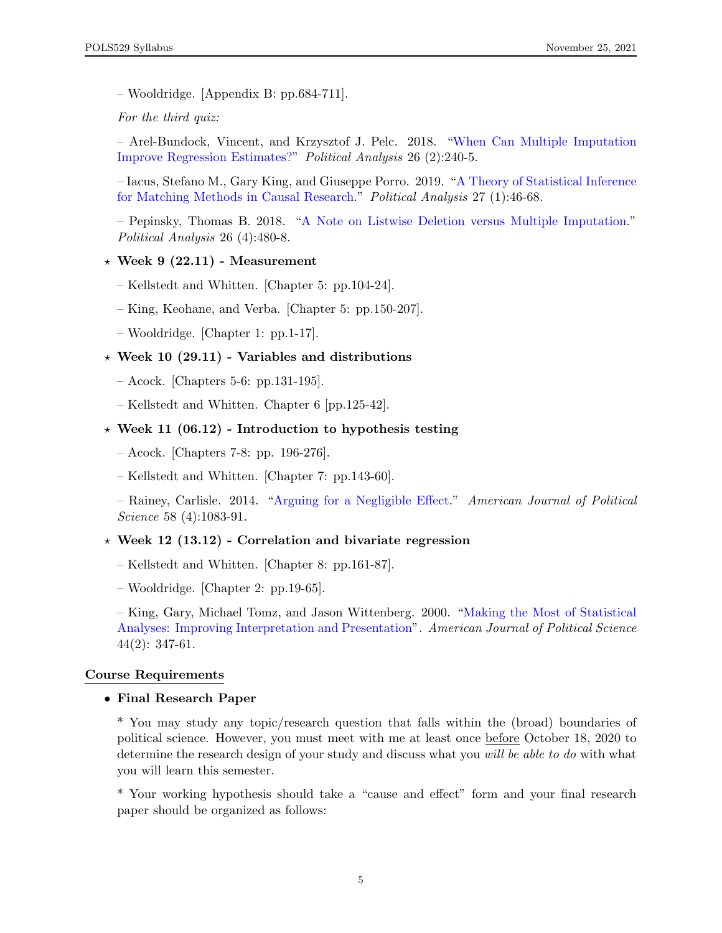– Wooldridge. [Appendix B: pp.684-711].

For the third quiz:

– Arel-Bundock, Vincent, and Krzysztof J. Pelc. 2018. ["When Can Multiple Imputation](https://www.cambridge.org/core/services/aop-cambridge-core/content/view/FDDDD1DB39FBFDEC6C352CFC1B167376/S1047198717000432a.pdf/when_can_multiple_imputation_improve_regression_estimates.pdf) [Improve Regression Estimates?"](https://www.cambridge.org/core/services/aop-cambridge-core/content/view/FDDDD1DB39FBFDEC6C352CFC1B167376/S1047198717000432a.pdf/when_can_multiple_imputation_improve_regression_estimates.pdf) Political Analysis 26 (2):240-5.

– Iacus, Stefano M., Gary King, and Giuseppe Porro. 2019. ["A Theory of Statistical Inference](https://www.cambridge.org/core/journals/political-analysis/article/theory-of-statistical-inference-for-matching-methods-in-causal-research/C047EB2F24096F5127E777BDD242AF46) [for Matching Methods in Causal Research.](https://www.cambridge.org/core/journals/political-analysis/article/theory-of-statistical-inference-for-matching-methods-in-causal-research/C047EB2F24096F5127E777BDD242AF46)" Political Analysis 27 (1):46-68.

– Pepinsky, Thomas B. 2018. ["A Note on Listwise Deletion versus Multiple Imputation.](https://www.cambridge.org/core/services/aop-cambridge-core/content/view/39DE56539189423F6C985B3B9EBF7E56/S1047198718000189a.pdf/note_on_listwise_deletion_versus_multiple_imputation.pdf)" Political Analysis 26 (4):480-8.

#### $\star$  Week 9 (22.11) - Measurement

- Kellstedt and Whitten. [Chapter 5: pp.104-24].
- King, Keohane, and Verba. [Chapter 5: pp.150-207].
- Wooldridge. [Chapter 1: pp.1-17].

#### $\star$  Week 10 (29.11) - Variables and distributions

- Acock. [Chapters 5-6: pp.131-195].
- Kellstedt and Whitten. Chapter 6 [pp.125-42].

#### $\star$  Week 11 (06.12) - Introduction to hypothesis testing

- Acock. [Chapters 7-8: pp. 196-276].
- Kellstedt and Whitten. [Chapter 7: pp.143-60].

– Rainey, Carlisle. 2014. ["Arguing for a Negligible Effect.](https://onlinelibrary.wiley.com/doi/abs/10.1111/ajps.12102)" American Journal of Political Science 58 (4):1083-91.

#### $\star$  Week 12 (13.12) - Correlation and bivariate regression

- Kellstedt and Whitten. [Chapter 8: pp.161-87].
- Wooldridge. [Chapter 2: pp.19-65].

– King, Gary, Michael Tomz, and Jason Wittenberg. 2000. ["Making the Most of Statistical](http://www.jstor.org/stable/2669316?seq=1#page_scan_tab_contents) [Analyses: Improving Interpretation and Presentation"](http://www.jstor.org/stable/2669316?seq=1#page_scan_tab_contents). American Journal of Political Science 44(2): 347-61.

#### Course Requirements

#### • Final Research Paper

\* You may study any topic/research question that falls within the (broad) boundaries of political science. However, you must meet with me at least once before October 18, 2020 to determine the research design of your study and discuss what you will be able to do with what you will learn this semester.

\* Your working hypothesis should take a "cause and effect" form and your final research paper should be organized as follows: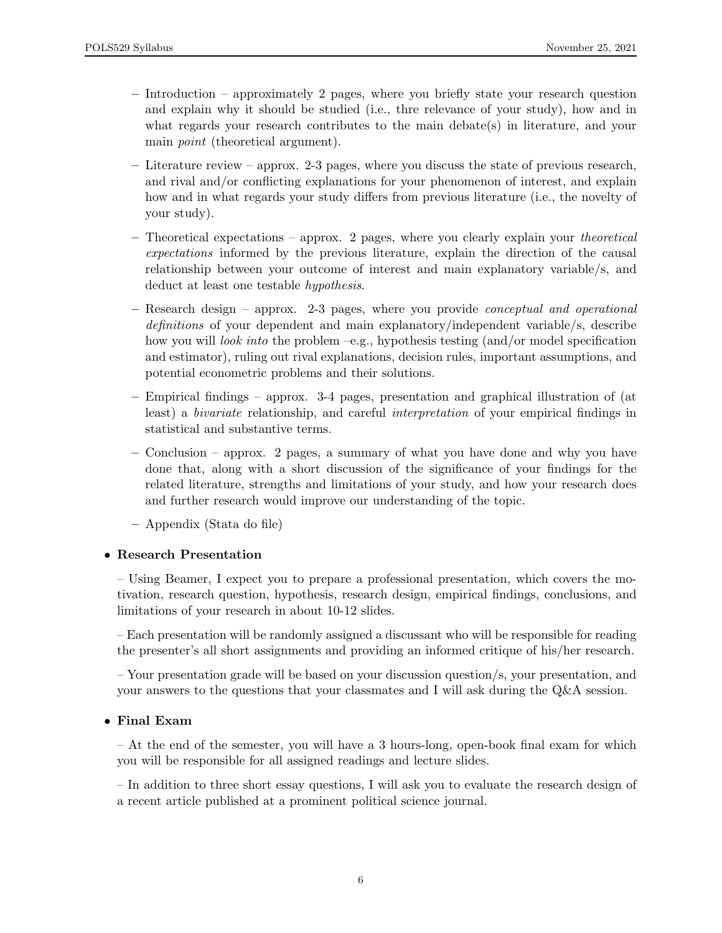- Introduction approximately 2 pages, where you briefly state your research question and explain why it should be studied (i.e., thre relevance of your study), how and in what regards your research contributes to the main debate(s) in literature, and your main point (theoretical argument).
- Literature review approx. 2-3 pages, where you discuss the state of previous research, and rival and/or conflicting explanations for your phenomenon of interest, and explain how and in what regards your study differs from previous literature (i.e., the novelty of your study).
- Theoretical expectations approx. 2 pages, where you clearly explain your theoretical expectations informed by the previous literature, explain the direction of the causal relationship between your outcome of interest and main explanatory variable/s, and deduct at least one testable hypothesis.
- Research design approx. 2-3 pages, where you provide conceptual and operational definitions of your dependent and main explanatory/independent variable/s, describe how you will *look into* the problem  $-e.g.,$  hypothesis testing (and/or model specification and estimator), ruling out rival explanations, decision rules, important assumptions, and potential econometric problems and their solutions.
- Empirical findings approx. 3-4 pages, presentation and graphical illustration of (at least) a bivariate relationship, and careful interpretation of your empirical findings in statistical and substantive terms.
- Conclusion approx. 2 pages, a summary of what you have done and why you have done that, along with a short discussion of the significance of your findings for the related literature, strengths and limitations of your study, and how your research does and further research would improve our understanding of the topic.
- Appendix (Stata do file)

## • Research Presentation

– Using Beamer, I expect you to prepare a professional presentation, which covers the motivation, research question, hypothesis, research design, empirical findings, conclusions, and limitations of your research in about 10-12 slides.

– Each presentation will be randomly assigned a discussant who will be responsible for reading the presenter's all short assignments and providing an informed critique of his/her research.

– Your presentation grade will be based on your discussion question/s, your presentation, and your answers to the questions that your classmates and I will ask during the Q&A session.

### • Final Exam

– At the end of the semester, you will have a 3 hours-long, open-book final exam for which you will be responsible for all assigned readings and lecture slides.

– In addition to three short essay questions, I will ask you to evaluate the research design of a recent article published at a prominent political science journal.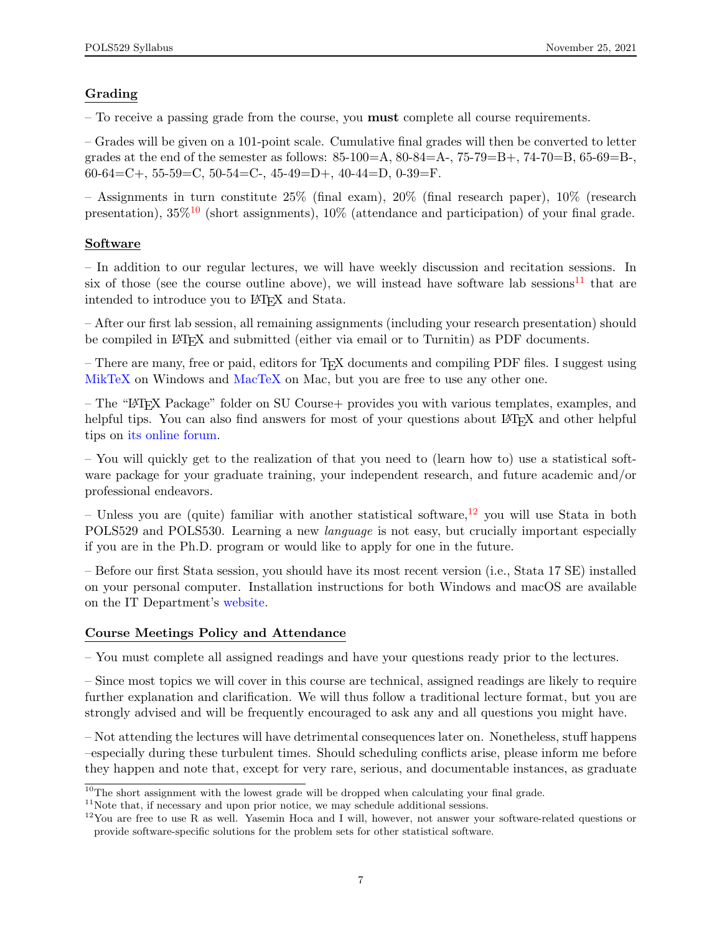## Grading

– To receive a passing grade from the course, you **must** complete all course requirements.

– Grades will be given on a 101-point scale. Cumulative final grades will then be converted to letter grades at the end of the semester as follows:  $85-100=A$ ,  $80-84=A$ ,  $75-79=B$ ,  $74-70=B$ ,  $65-69=B$ , 60-64=C+, 55-59=C, 50-54=C-, 45-49=D+, 40-44=D, 0-39=F.

– Assignments in turn constitute  $25\%$  (final exam),  $20\%$  (final research paper),  $10\%$  (research presentation),  $35\%$ <sup>[10](#page-0-0)</sup> (short assignments),  $10\%$  (attendance and participation) of your final grade.

## Software

– In addition to our regular lectures, we will have weekly discussion and recitation sessions. In six of those (see the course outline above), we will instead have software lab sessions<sup>[11](#page-0-0)</sup> that are intended to introduce you to LAT<sub>EX</sub> and Stata.

– After our first lab session, all remaining assignments (including your research presentation) should be compiled in LATEX and submitted (either via email or to Turnitin) as PDF documents.

– There are many, free or paid, editors for TEX documents and compiling PDF files. I suggest using [MikTeX](https://miktex.org/about) on Windows and [MacTeX](http://www.tug.org/mactex/) on Mac, but you are free to use any other one.

– The "LATEX Package" folder on SU Course+ provides you with various templates, examples, and helpful tips. You can also find answers for most of your questions about LAT<sub>EX</sub> and other helpful tips on [its online forum.](https://tex.stackexchange.com/)

– You will quickly get to the realization of that you need to (learn how to) use a statistical software package for your graduate training, your independent research, and future academic and/or professional endeavors.

– Unless you are (quite) familiar with another statistical software,  $^{12}$  $^{12}$  $^{12}$  you will use Stata in both POLS529 and POLS530. Learning a new language is not easy, but crucially important especially if you are in the Ph.D. program or would like to apply for one in the future.

– Before our first Stata session, you should have its most recent version (i.e., Stata 17 SE) installed on your personal computer. Installation instructions for both Windows and macOS are available on the IT Department's [website.](http://software.sabanciuniv.edu/academic/Stata/v17/)

### Course Meetings Policy and Attendance

– You must complete all assigned readings and have your questions ready prior to the lectures.

– Since most topics we will cover in this course are technical, assigned readings are likely to require further explanation and clarification. We will thus follow a traditional lecture format, but you are strongly advised and will be frequently encouraged to ask any and all questions you might have.

– Not attending the lectures will have detrimental consequences later on. Nonetheless, stuff happens –especially during these turbulent times. Should scheduling conflicts arise, please inform me before they happen and note that, except for very rare, serious, and documentable instances, as graduate

 $10$ The short assignment with the lowest grade will be dropped when calculating your final grade.

<sup>&</sup>lt;sup>11</sup>Note that, if necessary and upon prior notice, we may schedule additional sessions.

 $12$ You are free to use R as well. Yasemin Hoca and I will, however, not answer your software-related questions or provide software-specific solutions for the problem sets for other statistical software.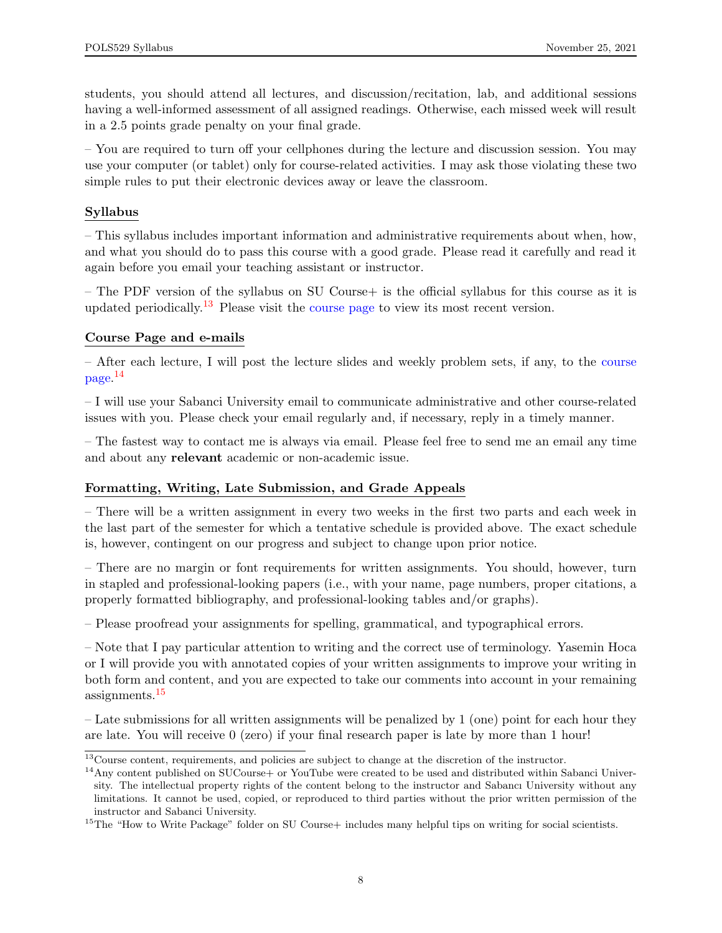students, you should attend all lectures, and discussion/recitation, lab, and additional sessions having a well-informed assessment of all assigned readings. Otherwise, each missed week will result in a 2.5 points grade penalty on your final grade.

– You are required to turn off your cellphones during the lecture and discussion session. You may use your computer (or tablet) only for course-related activities. I may ask those violating these two simple rules to put their electronic devices away or leave the classroom.

## Syllabus

– This syllabus includes important information and administrative requirements about when, how, and what you should do to pass this course with a good grade. Please read it carefully and read it again before you email your teaching assistant or instructor.

– The PDF version of the syllabus on SU Course+ is the official syllabus for this course as it is updated periodically.<sup>[13](#page-0-0)</sup> Please visit the [course page](https://sucourse.sabanciuniv.edu/plus/course/view.php?id=3857) to view its most recent version.

## Course Page and e-mails

– After each lecture, I will post the lecture slides and weekly problem sets, if any, to the [course](https://sucourse.sabanciuniv.edu/plus/course/view.php?id=3857) [page.](https://sucourse.sabanciuniv.edu/plus/course/view.php?id=3857) [14](#page-0-0)

– I will use your Sabanci University email to communicate administrative and other course-related issues with you. Please check your email regularly and, if necessary, reply in a timely manner.

– The fastest way to contact me is always via email. Please feel free to send me an email any time and about any relevant academic or non-academic issue.

### Formatting, Writing, Late Submission, and Grade Appeals

– There will be a written assignment in every two weeks in the first two parts and each week in the last part of the semester for which a tentative schedule is provided above. The exact schedule is, however, contingent on our progress and subject to change upon prior notice.

– There are no margin or font requirements for written assignments. You should, however, turn in stapled and professional-looking papers (i.e., with your name, page numbers, proper citations, a properly formatted bibliography, and professional-looking tables and/or graphs).

– Please proofread your assignments for spelling, grammatical, and typographical errors.

– Note that I pay particular attention to writing and the correct use of terminology. Yasemin Hoca or I will provide you with annotated copies of your written assignments to improve your writing in both form and content, and you are expected to take our comments into account in your remaining assignments.<sup>[15](#page-0-0)</sup>

– Late submissions for all written assignments will be penalized by 1 (one) point for each hour they are late. You will receive 0 (zero) if your final research paper is late by more than 1 hour!

<sup>&</sup>lt;sup>13</sup>Course content, requirements, and policies are subject to change at the discretion of the instructor.

 $14$ Any content published on SUCourse+ or YouTube were created to be used and distributed within Sabanci University. The intellectual property rights of the content belong to the instructor and Sabancı University without any limitations. It cannot be used, copied, or reproduced to third parties without the prior written permission of the instructor and Sabanci University.

<sup>&</sup>lt;sup>15</sup>The "How to Write Package" folder on SU Course+ includes many helpful tips on writing for social scientists.